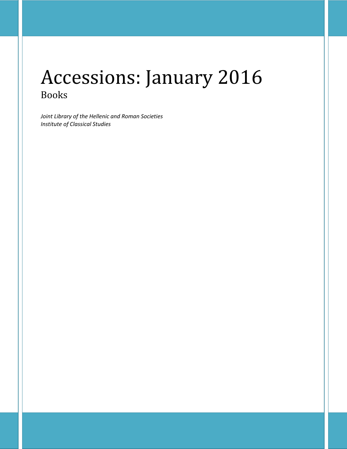# Accessions: January 2016 Books

*Joint Library of the Hellenic and Roman Societies Institute of Classical Studies*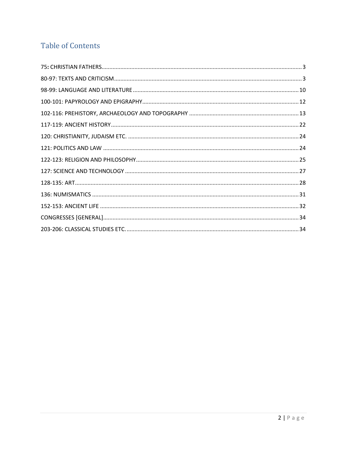## **Table of Contents**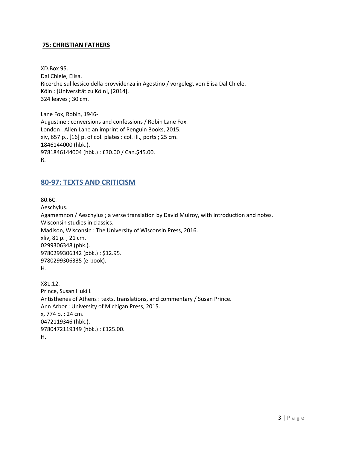#### <span id="page-2-0"></span>**75: CHRISTIAN FATHERS**

XD.Box 95. Dal Chiele, Elisa. Ricerche sul lessico della provvidenza in Agostino / vorgelegt von Elisa Dal Chiele. Köln : [Universität zu Köln], [2014]. 324 leaves ; 30 cm.

Lane Fox, Robin, 1946- Augustine : conversions and confessions / Robin Lane Fox. London : Allen Lane an imprint of Penguin Books, 2015. xiv, 657 p., [16] p. of col. plates : col. ill., ports ; 25 cm. 1846144000 (hbk.). 9781846144004 (hbk.) : £30.00 / Can.\$45.00. R.

#### <span id="page-2-1"></span>**80-97: TEXTS AND CRITICISM**

80.6C. Aeschylus. Agamemnon / Aeschylus ; a verse translation by David Mulroy, with introduction and notes. Wisconsin studies in classics. Madison, Wisconsin : The University of Wisconsin Press, 2016. xliv, 81 p. ; 21 cm. 0299306348 (pbk.). 9780299306342 (pbk.) : \$12.95. 9780299306335 (e-book). H.

X81.12. Prince, Susan Hukill. Antisthenes of Athens : texts, translations, and commentary / Susan Prince. Ann Arbor : University of Michigan Press, 2015. x, 774 p. ; 24 cm. 0472119346 (hbk.). 9780472119349 (hbk.) : £125.00. H.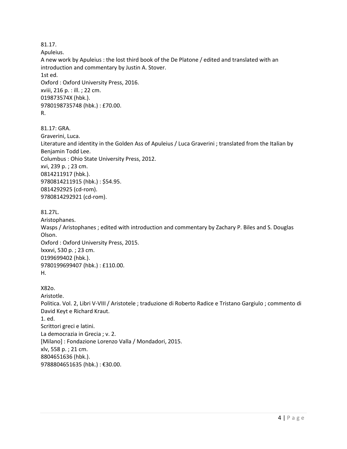81.17. Apuleius. A new work by Apuleius : the lost third book of the De Platone / edited and translated with an introduction and commentary by Justin A. Stover. 1st ed. Oxford : Oxford University Press, 2016. xviii, 216 p. : ill. ; 22 cm. 019873574X (hbk.). 9780198735748 (hbk.) : £70.00. R. 81.17: GRA. Graverini, Luca. Literature and identity in the Golden Ass of Apuleius / Luca Graverini ; translated from the Italian by Benjamin Todd Lee.

Columbus : Ohio State University Press, 2012.

xvi, 239 p. ; 23 cm. 0814211917 (hbk.). 9780814211915 (hbk.) : \$54.95.

0814292925 (cd-rom). 9780814292921 (cd-rom).

81.27L.

Aristophanes. Wasps / Aristophanes ; edited with introduction and commentary by Zachary P. Biles and S. Douglas Olson. Oxford : Oxford University Press, 2015. lxxxvi, 530 p. ; 23 cm. 0199699402 (hbk.). 9780199699407 (hbk.) : £110.00. H.

X82o. Aristotle. Politica. Vol. 2, Libri V-VIII / Aristotele ; traduzione di Roberto Radice e Tristano Gargiulo ; commento di David Keyt e Richard Kraut. 1. ed. Scrittori greci e latini. La democrazia in Grecia ; v. 2. [Milano] : Fondazione Lorenzo Valla / Mondadori, 2015. xlv, 558 p. ; 21 cm. 8804651636 (hbk.). 9788804651635 (hbk.) : €30.00.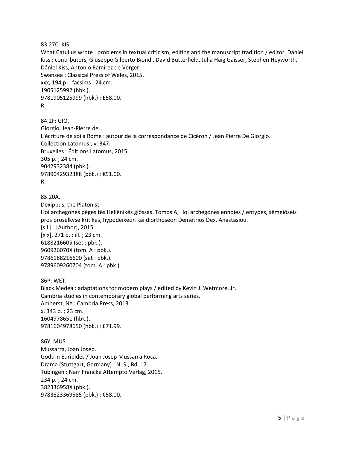83.27C: KIS.

What Catullus wrote : problems in textual criticism, editing and the manuscript tradition / editor, Dániel Kiss ; contributors, Giuseppe Gilberto Biondi, David Butterfield, Julia Haig Gaisser, Stephen Heyworth, Dániel Kiss, Antonio Ramírez de Verger. Swansea : Classical Press of Wales, 2015. xxx, 194 p. : facsims ; 24 cm. 1905125992 (hbk.). 9781905125999 (hbk.) : £58.00. R.

84.2F: GIO. Giorgio, Jean-Pierre de. L'écriture de soi à Rome : autour de la correspondance de Cicéron / Jean Pierre De Giorgio. Collection Latomus ; v. 347. Bruxelles : Éditions Latomus, 2015. 305 p. ; 24 cm. 9042932384 (pbk.). 9789042932388 (pbk.) : €51.00. R.

85.20A. Dexippus, the Platonist. Hoi archegones pēges tēs Hellēnikēs glōssas. Tomos A, Hoi archegones ennoies / entypes, sēmeiōseis pros proselkysē kritikēs, hypodeixeōn kai diorthōseōn Dēmētrios Dex. Anastasiou. [s.l.] : [Author], 2015. [xix], 271 p. : ill. ; 23 cm. 6188216605 (set : pbk.). 960926070X (tom. A : pbk.). 9786188216600 (set : pbk.). 9789609260704 (tom. A : pbk.).

86P: WET. Black Medea : adaptations for modern plays / edited by Kevin J. Wetmore, Jr. Cambria studies in contemporary global performing arts series. Amherst, NY : Cambria Press, 2013. x, 343 p. ; 23 cm. 1604978651 (hbk.). 9781604978650 (hbk.) : £71.99.

86Y: MUS. Mussarra, Joan Josep. Gods in Euripides / Joan Josep Mussarra Roca. Drama (Stuttgart, Germany) ; N. S., Bd. 17. Tübingen : Narr Francke Attempto Verlag, 2015. 234 p. ; 24 cm. 382336958X (pbk.). 9783823369585 (pbk.) : €58.00.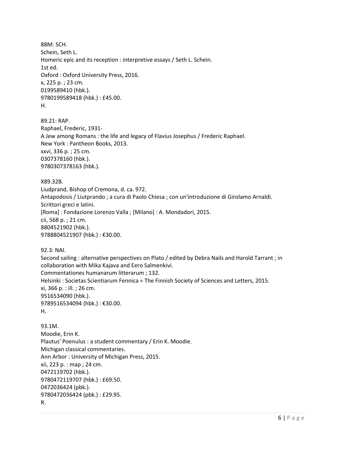88M: SCH. Schein, Seth L. Homeric epic and its reception : interpretive essays / Seth L. Schein. 1st ed. Oxford : Oxford University Press, 2016. x, 225 p. ; 23 cm. 0199589410 (hbk.). 9780199589418 (hbk.) : £45.00. H.

89.21: RAP. Raphael, Frederic, 1931- A Jew among Romans : the life and legacy of Flavius Josephus / Frederic Raphael. New York : Pantheon Books, 2013. xxvi, 336 p. ; 25 cm. 0307378160 (hbk.). 9780307378163 (hbk.).

X89.32B. Liudprand, Bishop of Cremona, d. ca. 972. Antapodosis / Liutprando ; a cura di Paolo Chiesa ; con un'introduzione di Girolamo Arnaldi. Scrittori greci e latini. [Roma] : Fondazione Lorenzo Valla ; [Milano] : A. Mondadori, 2015. cii, 568 p. ; 21 cm. 8804521902 (hbk.). 9788804521907 (hbk.) : €30.00.

92.3: NAI. Second sailing : alternative perspectives on Plato / edited by Debra Nails and Harold Tarrant ; in collaboration with Mika Kajava and Eero Salmenkivi. Commentationes humanarum litterarum ; 132. Helsinki : Societas Scientiarum Fennica = The Finnish Society of Sciences and Letters, 2015. xi, 366 p. : ill. ; 26 cm. 9516534090 (hbk.). 9789516534094 (hbk.) : €30.00. H.

93.1M. Moodie, Erin K. Plautus' Poenulus : a student commentary / Erin K. Moodie. Michigan classical commentaries. Ann Arbor : University of Michigan Press, 2015. xii, 223 p. : map ; 24 cm. 0472119702 (hbk.). 9780472119707 (hbk.) : £69.50. 0472036424 (pbk.). 9780472036424 (pbk.) : £29.95. R.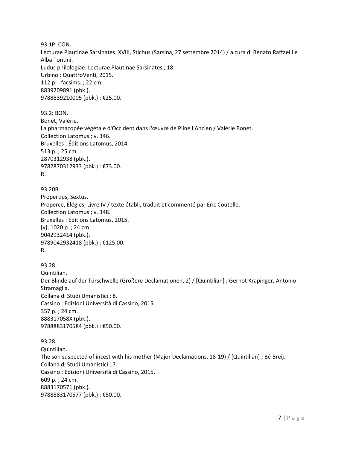93.1P: CON. Lecturae Plautinae Sarsinates. XVIII, Stichus (Sarsina, 27 settembre 2014) / a cura di Renato Raffaelli e Alba Tontini. Ludus philologiae. Lecturae Plautinae Sarsinates ; 18. Urbino : QuattroVenti, 2015. 112 p. : facsims. ; 22 cm. 8839209891 (pbk.). 9788839210005 (pbk.) : €25.00.

93.2: BON. Bonet, Valérie. La pharmacopée végétale d'Occident dans l'œuvre de Pline l'Ancien / Valérie Bonet. Collection Latomus ; v. 346. Bruxelles : Éditions Latomus, 2014. 513 p. ; 25 cm. 2870312938 (pbk.). 9782870312933 (pbk.) : €73.00. R.

93.20B. Propertius, Sextus. Properce, Élégies, Livre IV / texte établi, traduit et commenté par Éric Coutelle. Collection Latomus ; v. 348. Bruxelles : Éditions Latomus, 2015. [v], 1020 p. ; 24 cm. 9042932414 (pbk.). 9789042932418 (pbk.) : €125.00. R.

93.28. Quintilian. Der Blinde auf der Türschwelle (Größere Declamationen, 2) / [Quintilian] ; Gernot Krapinger, Antonio Stramaglia. Collana di Studi Umanistici ; 8. Cassino : Edizioni Università di Cassino, 2015. 357 p. ; 24 cm. 888317058X (pbk.). 9788883170584 (pbk.) : €50.00.

93.28. Quintilian. The son suspected of incest with his mother (Major Declamations, 18-19) / [Quintilian] ; Bé Breij. Collana di Studi Umanistici ; 7. Cassino : Edizioni Università di Cassino, 2015. 609 p. ; 24 cm. 8883170571 (pbk.). 9788883170577 (pbk.) : €50.00.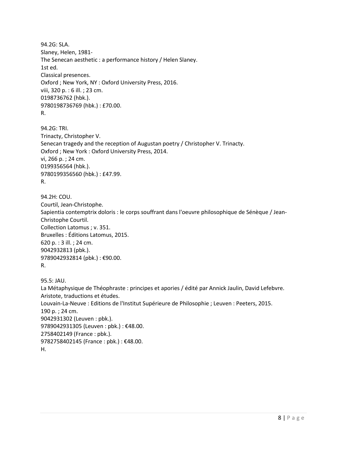94.2G: SLA. Slaney, Helen, 1981- The Senecan aesthetic : a performance history / Helen Slaney. 1st ed. Classical presences. Oxford ; New York, NY : Oxford University Press, 2016. viii, 320 p. : 6 ill. ; 23 cm. 0198736762 (hbk.). 9780198736769 (hbk.) : £70.00. R.

94.2G: TRI. Trinacty, Christopher V. Senecan tragedy and the reception of Augustan poetry / Christopher V. Trinacty. Oxford ; New York : Oxford University Press, 2014. vi, 266 p. ; 24 cm. 0199356564 (hbk.). 9780199356560 (hbk.) : £47.99. R.

94.2H: COU. Courtil, Jean-Christophe. Sapientia contemptrix doloris : le corps souffrant dans l'oeuvre philosophique de Sénèque / Jean-Christophe Courtil. Collection Latomus ; v. 351. Bruxelles : Éditions Latomus, 2015. 620 p. : 3 ill. ; 24 cm. 9042932813 (pbk.). 9789042932814 (pbk.) : €90.00. R.

95.5: JAU. La Métaphysique de Théophraste : principes et apories / édité par Annick Jaulin, David Lefebvre. Aristote, traductions et études. Louvain-La-Neuve : Editions de l'Institut Supérieure de Philosophie ; Leuven : Peeters, 2015. 190 p. ; 24 cm. 9042931302 (Leuven : pbk.). 9789042931305 (Leuven : pbk.) : €48.00. 2758402149 (France : pbk.). 9782758402145 (France : pbk.) : €48.00. H.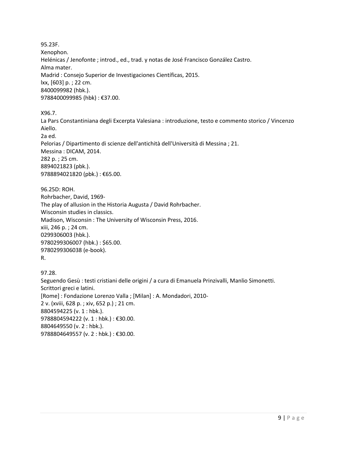95.23F. Xenophon. Helénicas / Jenofonte ; introd., ed., trad. y notas de José Francisco González Castro. Alma mater. Madrid : Consejo Superior de Investigaciones Científicas, 2015. lxx, [603] p. ; 22 cm. 8400099982 (hbk.). 9788400099985 (hbk) : €37.00.

X96.7.

La Pars Constantiniana degli Excerpta Valesiana : introduzione, testo e commento storico / Vincenzo Aiello. 2a ed. Pelorias / Dipartimento di scienze dell'antichità dell'Università di Messina ; 21. Messina : DICAM, 2014. 282 p. ; 25 cm. 8894021823 (pbk.). 9788894021820 (pbk.) : €65.00.

96.25D: ROH. Rohrbacher, David, 1969- The play of allusion in the Historia Augusta / David Rohrbacher. Wisconsin studies in classics. Madison, Wisconsin : The University of Wisconsin Press, 2016. xiii, 246 p. ; 24 cm. 0299306003 (hbk.). 9780299306007 (hbk.) : \$65.00. 9780299306038 (e-book). R.

97.28. Seguendo Gesù : testi cristiani delle origini / a cura di Emanuela Prinzivalli, Manlio Simonetti. Scrittori greci e latini. [Rome] : Fondazione Lorenzo Valla ; [Milan] : A. Mondadori, 2010- 2 v. (xviii, 628 p. ; xiv, 652 p.) ; 21 cm. 8804594225 (v. 1 : hbk.). 9788804594222 (v. 1 : hbk.) : €30.00. 8804649550 (v. 2 : hbk.). 9788804649557 (v. 2 : hbk.) : €30.00.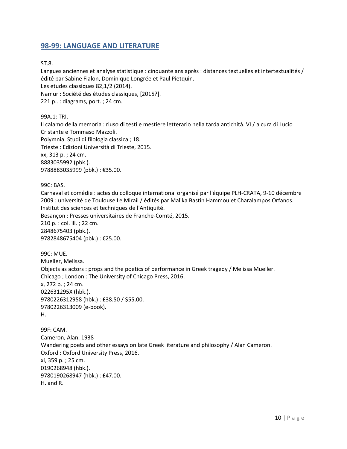#### <span id="page-9-0"></span>**98-99: LANGUAGE AND LITERATURE**

ST.8.

Langues anciennes et analyse statistique : cinquante ans après : distances textuelles et intertextualités / édité par Sabine Fialon, Dominique Longrée et Paul Pietquin.

Les etudes classiques 82,1/2 (2014).

Namur : Société des études classiques, [2015?].

221 p.. : diagrams, port. ; 24 cm.

99A.1: TRI.

Il calamo della memoria : riuso di testi e mestiere letterario nella tarda antichità. VI / a cura di Lucio Cristante e Tommaso Mazzoli. Polymnia. Studi di filologia classica ; 18.

Trieste : Edizioni Università di Trieste, 2015. xx, 313 p. ; 24 cm.

8883035992 (pbk.).

9788883035999 (pbk.) : €35.00.

99C: BAS.

Carnaval et comédie : actes du colloque international organisé par l'équipe PLH-CRATA, 9-10 décembre 2009 : université de Toulouse Le Mirail / édités par Malika Bastin Hammou et Charalampos Orfanos. Institut des sciences et techniques de l'Antiquité.

Besançon : Presses universitaires de Franche-Comté, 2015.

210 p. : col. ill. ; 22 cm. 2848675403 (pbk.). 9782848675404 (pbk.) : €25.00.

99C: MUE. Mueller, Melissa. Objects as actors : props and the poetics of performance in Greek tragedy / Melissa Mueller. Chicago ; London : The University of Chicago Press, 2016. x, 272 p. ; 24 cm. 022631295X (hbk.). 9780226312958 (hbk.) : £38.50 / \$55.00. 9780226313009 (e-book). H.

99F: CAM. Cameron, Alan, 1938- Wandering poets and other essays on late Greek literature and philosophy / Alan Cameron. Oxford : Oxford University Press, 2016. xi, 359 p. ; 25 cm. 0190268948 (hbk.). 9780190268947 (hbk.) : £47.00. H. and R.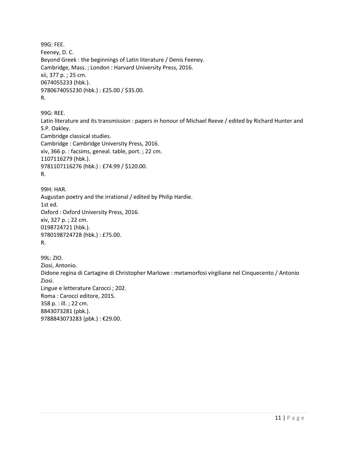```
99G: FEE. 
Feeney, D. C.
Beyond Greek : the beginnings of Latin literature / Denis Feeney.
Cambridge, Mass. ; London : Harvard University Press, 2016.
xii, 377 p. ; 25 cm.
0674055233 (hbk.). 
9780674055230 (hbk.) : £25.00 / $35.00. 
R.
```
99G: REE. Latin literature and its transmission : papers in honour of Michael Reeve / edited by Richard Hunter and S.P. Oakley. Cambridge classical studies. Cambridge : Cambridge University Press, 2016. xiv, 366 p. : facsims, geneal. table, port. ; 22 cm. 1107116279 (hbk.). 9781107116276 (hbk.) : £74.99 / \$120.00. R.

99H: HAR. Augustan poetry and the irrational / edited by Philip Hardie. 1st ed. Oxford : Oxford University Press, 2016. xiv, 327 p. ; 22 cm. 0198724721 (hbk.). 9780198724728 (hbk.) : £75.00. R.

99L: ZIO. Ziosi, Antonio. Didone regina di Cartagine di Christopher Marlowe : metamorfosi virgiliane nel Cinquecento / Antonio Ziosi. Lingue e letterature Carocci ; 202. Roma : Carocci editore, 2015. 358 p. : ill. ; 22 cm. 8843073281 (pbk.). 9788843073283 (pbk.) : €29.00.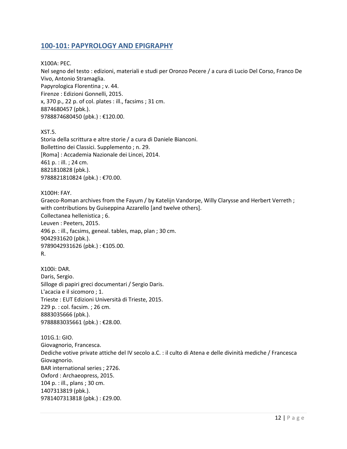#### <span id="page-11-0"></span>**100-101: PAPYROLOGY AND EPIGRAPHY**

X100A: PEC. Nel segno del testo : edizioni, materiali e studi per Oronzo Pecere / a cura di Lucio Del Corso, Franco De Vivo, Antonio Stramaglia. Papyrologica Florentina ; v. 44. Firenze : Edizioni Gonnelli, 2015. x, 370 p., 22 p. of col. plates : ill., facsims ; 31 cm. 8874680457 (pbk.). 9788874680450 (pbk.) : €120.00.

XST.5.

Storia della scrittura e altre storie / a cura di Daniele Bianconi. Bollettino dei Classici. Supplemento ; n. 29. [Roma] : Accademia Nazionale dei Lincei, 2014. 461 p. : ill. ; 24 cm. 8821810828 (pbk.). 9788821810824 (pbk.) : €70.00.

X100H: FAY. Graeco-Roman archives from the Fayum / by Katelijn Vandorpe, Willy Clarysse and Herbert Verreth ; with contributions by Guiseppina Azzarello [and twelve others]. Collectanea hellenistica ; 6. Leuven : Peeters, 2015. 496 p. : ill., facsims, geneal. tables, map, plan ; 30 cm. 9042931620 (pbk.). 9789042931626 (pbk.) : €105.00. R.

X100i: DAR. Daris, Sergio. Silloge di papiri greci documentari / Sergio Daris. L'acacia e il sicomoro ; 1. Trieste : EUT Edizioni Università di Trieste, 2015. 229 p. : col. facsim. ; 26 cm. 8883035666 (pbk.). 9788883035661 (pbk.) : €28.00.

101G.1: GIO. Giovagnorio, Francesca. Dediche votive private attiche del IV secolo a.C. : il culto di Atena e delle divinità mediche / Francesca Giovagnorio. BAR international series ; 2726. Oxford : Archaeopress, 2015. 104 p. : ill., plans ; 30 cm. 1407313819 (pbk.). 9781407313818 (pbk.) : £29.00.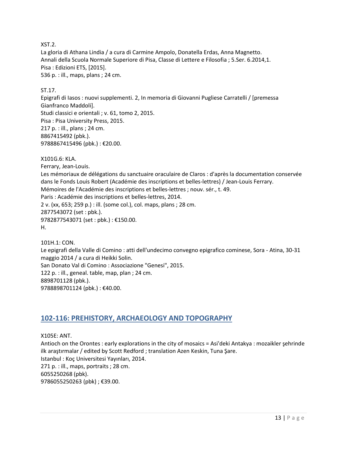XST.2.

La gloria di Athana Lindia / a cura di Carmine Ampolo, Donatella Erdas, Anna Magnetto. Annali della Scuola Normale Superiore di Pisa, Classe di Lettere e Filosofia ; 5.Ser. 6.2014,1. Pisa : Edizioni ETS, [2015]. 536 p. : ill., maps, plans ; 24 cm.

#### ST.17.

Epigrafi di Iasos : nuovi supplementi. 2, In memoria di Giovanni Pugliese Carratelli / [premessa Gianfranco Maddoli]. Studi classici e orientali ; v. 61, tomo 2, 2015. Pisa : Pisa University Press, 2015. 217 p. : ill., plans ; 24 cm. 8867415492 (pbk.). 9788867415496 (pbk.) : €20.00.

X101G.6: KLA.

Ferrary, Jean-Louis. Les mémoriaux de délégations du sanctuaire oraculaire de Claros : d'après la documentation conservée dans le Fonds Louis Robert (Académie des inscriptions et belles-lettres) / Jean-Louis Ferrary. Mémoires de l'Académie des inscriptions et belles-lettres ; nouv. sér., t. 49. Paris : Académie des inscriptions et belles-lettres, 2014. 2 v. (xx, 653; 259 p.) : ill. (some col.), col. maps, plans ; 28 cm. 2877543072 (set : pbk.). 9782877543071 (set : pbk.) : €150.00. H.

101H.1: CON. Le epigrafi della Valle di Comino : atti dell'undecimo convegno epigrafico cominese, Sora - Atina, 30-31 maggio 2014 / a cura di Heikki Solin. San Donato Val di Comino : Associazione "Genesi", 2015. 122 p. : ill., geneal. table, map, plan ; 24 cm. 8898701128 (pbk.). 9788898701124 (pbk.) : €40.00.

#### <span id="page-12-0"></span>**102-116: PREHISTORY, ARCHAEOLOGY AND TOPOGRAPHY**

X105E: ANT. Antioch on the Orontes : early explorations in the city of mosaics = Asi'deki Antakya : mozaikler şehrinde ilk araştırmalar / edited by Scott Redford ; translation Azen Keskin, Tuna Şare. Istanbul : Koç Universitesi Yayınları, 2014. 271 p. : ill., maps, portraits ; 28 cm. 6055250268 (pbk). 9786055250263 (pbk) ; €39.00.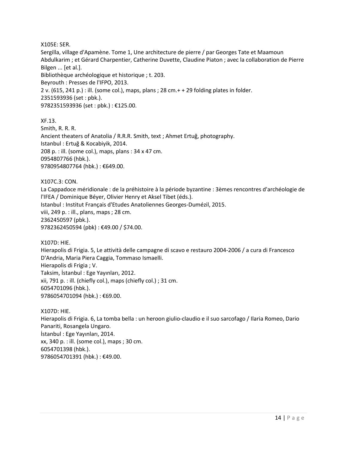#### X105E: SER.

Sergilla, village d'Apamène. Tome 1, Une architecture de pierre / par Georges Tate et Maamoun Abdulkarim ; et Gérard Charpentier, Catherine Duvette, Claudine Piaton ; avec la collaboration de Pierre Bilgen ... [et al.]. Bibliothèque archéologique et historique ; t. 203. Beyrouth : Presses de l'IFPO, 2013. 2 v. (615, 241 p.) : ill. (some col.), maps, plans ; 28 cm.+ + 29 folding plates in folder. 2351593936 (set : pbk.). 9782351593936 (set : pbk.) : €125.00.

XF.13. Smith, R. R. R. Ancient theaters of Anatolia / R.R.R. Smith, text ; Ahmet Ertuğ, photography. Istanbul : Ertuğ & Kocabiyik, 2014. 208 p. : ill. (some col.), maps, plans : 34 x 47 cm. 0954807766 (hbk.). 9780954807764 (hbk.) : €649.00.

X107C.3: CON. La Cappadoce méridionale : de la préhistoire à la période byzantine : 3èmes rencontres d'archéologie de l'IFEA / Dominique Béyer, Olivier Henry et Aksel Tibet (éds.). Istanbul : Institut Français d'Etudes Anatoliennes Georges-Dumézil, 2015. viii, 249 p. : ill., plans, maps ; 28 cm. 2362450597 (pbk.). 9782362450594 (pbk) : €49.00 / \$74.00.

X107D: HIE.

Hierapolis di Frigia. 5, Le attività delle campagne di scavo e restauro 2004-2006 / a cura di Francesco D'Andria, Maria Piera Caggia, Tommaso Ismaelli. Hierapolis di Frigia ; V. Taksim, İstanbul : Ege Yayınları, 2012. xii, 791 p. : ill. (chiefly col.), maps (chiefly col.) ; 31 cm. 6054701096 (hbk.). 9786054701094 (hbk.) : €69.00.

X107D: HIE. Hierapolis di Frigia. 6, La tomba bella : un heroon giulio-claudio e il suo sarcofago / Ilaria Romeo, Dario Panariti, Rosangela Ungaro. İstanbul : Ege Yayınları, 2014. xx, 340 p. : ill. (some col.), maps ; 30 cm. 6054701398 (hbk.). 9786054701391 (hbk.) : €49.00.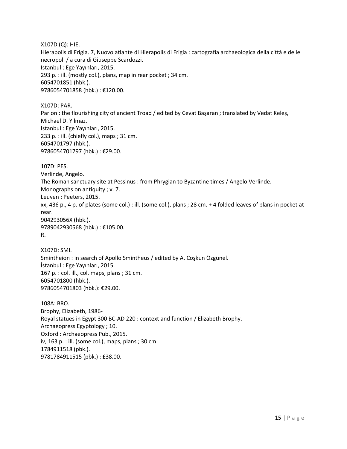X107D (Q): HIE.

Hierapolis di Frigia. 7, Nuovo atlante di Hierapolis di Frigia : cartografia archaeologica della città e delle necropoli / a cura di Giuseppe Scardozzi. Istanbul : Ege Yayınları, 2015. 293 p. : ill. (mostly col.), plans, map in rear pocket ; 34 cm. 6054701851 (hbk.). 9786054701858 (hbk.) : €120.00.

X107D: PAR. Parion : the flourishing city of ancient Troad / edited by Cevat Başaran ; translated by Vedat Keleş, Michael D. Yilmaz. Istanbul : Ege Yayınları, 2015. 233 p. : ill. (chiefly col.), maps ; 31 cm. 6054701797 (hbk.). 9786054701797 (hbk.) : €29.00.

107D: PES.

Verlinde, Angelo. The Roman sanctuary site at Pessinus : from Phrygian to Byzantine times / Angelo Verlinde.

Monographs on antiquity ; v. 7. Leuven : Peeters, 2015.

xx, 436 p., 4 p. of plates (some col.) : ill. (some col.), plans ; 28 cm. + 4 folded leaves of plans in pocket at rear. 904293056X (hbk.).

9789042930568 (hbk.) : €105.00. R.

X107D: SMI. Smintheion : in search of Apollo Smintheus / edited by A. Coşkun Özgünel. İstanbul : Ege Yayınları, 2015. 167 p. : col. ill., col. maps, plans ; 31 cm. 6054701800 (hbk.). 9786054701803 (hbk.): €29.00.

108A: BRO. Brophy, Elizabeth, 1986- Royal statues in Egypt 300 BC-AD 220 : context and function / Elizabeth Brophy. Archaeopress Egyptology ; 10. Oxford : Archaeopress Pub., 2015. iv, 163 p. : ill. (some col.), maps, plans ; 30 cm. 1784911518 (pbk.). 9781784911515 (pbk.) : £38.00.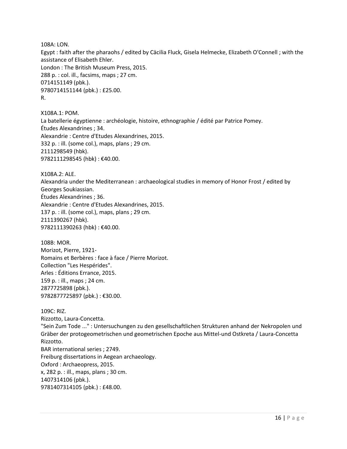108A: LON.

Egypt : faith after the pharaohs / edited by Cäcilia Fluck, Gisela Helmecke, Elizabeth O'Connell ; with the assistance of Elisabeth Ehler. London : The British Museum Press, 2015. 288 p. : col. ill., facsims, maps ; 27 cm. 0714151149 (pbk.). 9780714151144 (pbk.) : £25.00. R.

X108A.1: POM. La batellerie égyptienne : archéologie, histoire, ethnographie / édité par Patrice Pomey. Études Alexandrines ; 34. Alexandrie : Centre d'Etudes Alexandrines, 2015. 332 p. : ill. (some col.), maps, plans ; 29 cm. 2111298549 (hbk). 9782111298545 (hbk) : €40.00.

X108A.2: ALE.

Alexandria under the Mediterranean : archaeological studies in memory of Honor Frost / edited by Georges Soukiassian. Études Alexandrines ; 36. Alexandrie : Centre d'Etudes Alexandrines, 2015. 137 p. : ill. (some col.), maps, plans ; 29 cm. 2111390267 (hbk). 9782111390263 (hbk) : €40.00.

108B: MOR. Morizot, Pierre, 1921- Romains et Berbères : face à face / Pierre Morizot. Collection "Les Hespérides". Arles : Éditions Errance, 2015. 159 p. : ill., maps ; 24 cm. 2877725898 (pbk.). 9782877725897 (pbk.) : €30.00.

109C: RIZ. Rizzotto, Laura-Concetta. "Sein Zum Tode ..." : Untersuchungen zu den gesellschaftlichen Strukturen anhand der Nekropolen und Gräber der protogeometrischen und geometrischen Epoche aus Mittel-und Ostkreta / Laura-Concetta Rizzotto. BAR international series ; 2749. Freiburg dissertations in Aegean archaeology. Oxford : Archaeopress, 2015. x, 282 p. : ill., maps, plans ; 30 cm. 1407314106 (pbk.). 9781407314105 (pbk.) : £48.00.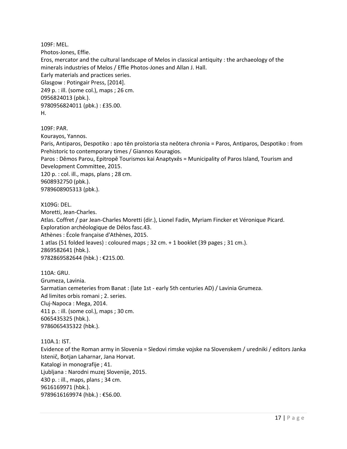109F: MEL. Photos-Jones, Effie. Eros, mercator and the cultural landscape of Melos in classical antiquity : the archaeology of the minerals industries of Melos / Effie Photos-Jones and Allan J. Hall. Early materials and practices series. Glasgow : Potingair Press, [2014]. 249 p. : ill. (some col.), maps ; 26 cm. 0956824013 (pbk.). 9780956824011 (pbk.) : £35.00. H.

109F: PAR.

Kourayos, Yannos.

Paris, Antiparos, Despotiko : apo tēn proïstoria sta neōtera chronia = Paros, Antiparos, Despotiko : from Prehistoric to contemporary times / Giannos Kouragios.

Paros : Dēmos Parou, Epitropē Tourismos kai Anaptyxēs = Municipality of Paros Island, Tourism and Development Committee, 2015.

120 p. : col. ill., maps, plans ; 28 cm. 9608932750 (pbk.). 9789608905313 (pbk.).

X109G: DEL.

Moretti, Jean-Charles.

Atlas. Coffret / par Jean-Charles Moretti (dir.), Lionel Fadin, Myriam Fincker et Véronique Picard. Exploration archéologique de Délos fasc.43.

Athènes : École française d'Athènes, 2015.

1 atlas (51 folded leaves) : coloured maps ; 32 cm. + 1 booklet (39 pages ; 31 cm.). 2869582641 (hbk.). 9782869582644 (hbk.) : €215.00.

110A: GRU. Grumeza, Lavinia. Sarmatian cemeteries from Banat : (late 1st - early 5th centuries AD) / Lavinia Grumeza. Ad limites orbis romani ; 2. series. Cluj-Napoca : Mega, 2014. 411 p. : ill. (some col.), maps ; 30 cm. 6065435325 (hbk.). 9786065435322 (hbk.).

110A.1: IST.

Evidence of the Roman army in Slovenia = Sledovi rimske vojske na Slovenskem / uredniki / editors Janka Istenič, Botjan Laharnar, Jana Horvat. Katalogi in monografije ; 41. Ljubljana : Narodni muzej Slovenije, 2015. 430 p. : ill., maps, plans ; 34 cm. 9616169971 (hbk.). 9789616169974 (hbk.) : €56.00.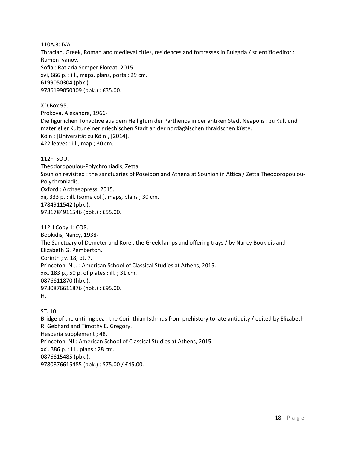110A.3: IVA. Thracian, Greek, Roman and medieval cities, residences and fortresses in Bulgaria / scientific editor : Rumen Ivanov. Sofia : Ratiaria Semper Floreat, 2015. xvi, 666 p. : ill., maps, plans, ports ; 29 cm. 6199050304 (pbk.). 9786199050309 (pbk.) : €35.00.

XD.Box 95. Prokova, Alexandra, 1966- Die figürlichen Tonvotive aus dem Heiligtum der Parthenos in der antiken Stadt Neapolis : zu Kult und materieller Kultur einer griechischen Stadt an der nordägäischen thrakischen Küste. Köln : [Universität zu Köln], [2014]. 422 leaves : ill., map ; 30 cm.

112F: SOU.

Theodoropoulou-Polychroniadis, Zetta. Sounion revisited : the sanctuaries of Poseidon and Athena at Sounion in Attica / Zetta Theodoropoulou-Polychroniadis. Oxford : Archaeopress, 2015. xii, 333 p. : ill. (some col.), maps, plans ; 30 cm. 1784911542 (pbk.). 9781784911546 (pbk.) : £55.00.

112H Copy 1: COR. Bookidis, Nancy, 1938- The Sanctuary of Demeter and Kore : the Greek lamps and offering trays / by Nancy Bookidis and Elizabeth G. Pemberton. Corinth ; v. 18, pt. 7. Princeton, N.J. : American School of Classical Studies at Athens, 2015. xix, 183 p., 50 p. of plates : ill. ; 31 cm. 0876611870 (hbk.). 9780876611876 (hbk.) : £95.00. H.

ST. 10. Bridge of the untiring sea : the Corinthian Isthmus from prehistory to late antiquity / edited by Elizabeth R. Gebhard and Timothy E. Gregory. Hesperia supplement ; 48. Princeton, NJ : American School of Classical Studies at Athens, 2015. xxi, 386 p. : ill., plans ; 28 cm. 0876615485 (pbk.). 9780876615485 (pbk.) : \$75.00 / £45.00.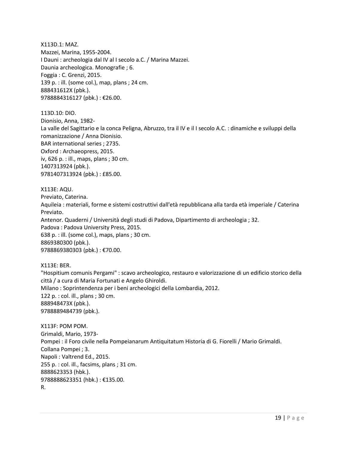X113D.1: MAZ. Mazzei, Marina, 1955-2004. I Dauni : archeologia dal IV al I secolo a.C. / Marina Mazzei. Daunia archeologica. Monografie ; 6. Foggia : C. Grenzi, 2015. 139 p. : ill. (some col.), map, plans ; 24 cm. 888431612X (pbk.). 9788884316127 (pbk.) : €26.00.

113D.10: DIO. Dionisio, Anna, 1982- La valle del Sagittario e la conca Peligna, Abruzzo, tra il IV e il I secolo A.C. : dinamiche e sviluppi della romanizzazione / Anna Dionisio. BAR international series ; 2735. Oxford : Archaeopress, 2015. iv, 626 p. : ill., maps, plans ; 30 cm. 1407313924 (pbk.). 9781407313924 (pbk.) : £85.00.

X113E: AQU.

Previato, Caterina. Aquileia : materiali, forme e sistemi costruttivi dall'età repubblicana alla tarda età imperiale / Caterina Previato. Antenor. Quaderni / Università degli studi di Padova, Dipartimento di archeologia ; 32. Padova : Padova University Press, 2015. 638 p. : ill. (some col.), maps, plans ; 30 cm. 8869380300 (pbk.). 9788869380303 (pbk.) : €70.00.

X113E: BER.

"Hospitium comunis Pergami" : scavo archeologico, restauro e valorizzazione di un edificio storico della città / a cura di Maria Fortunati e Angelo Ghiroldi. Milano : Soprintendenza per i beni archeologici della Lombardia, 2012. 122 p. : col. ill., plans ; 30 cm. 888948473X (pbk.). 9788889484739 (pbk.).

X113F: POM POM. Grimaldi, Mario, 1973- Pompei : il Foro civile nella Pompeianarum Antiquitatum Historia di G. Fiorelli / Mario Grimaldi. Collana Pompei ; 3. Napoli : Valtrend Ed., 2015. 255 p. : col. ill., facsims, plans ; 31 cm. 8888623353 (hbk.). 9788888623351 (hbk.) : €135.00. R.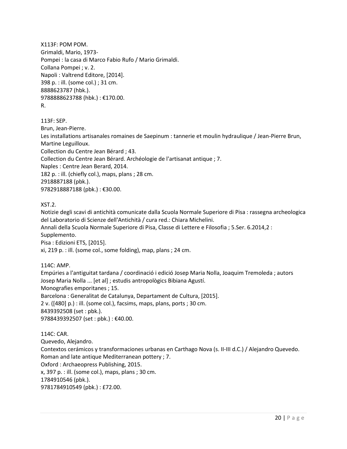X113F: POM POM. Grimaldi, Mario, 1973- Pompei : la casa di Marco Fabio Rufo / Mario Grimaldi. Collana Pompei ; v. 2. Napoli : Valtrend Editore, [2014]. 398 p. : ill. (some col.) ; 31 cm. 8888623787 (hbk.). 9788888623788 (hbk.) : €170.00. R.

113F: SEP. Brun, Jean-Pierre. Les installations artisanales romaines de Saepinum : tannerie et moulin hydraulique / Jean-Pierre Brun, Martine Leguilloux. Collection du Centre Jean Bérard ; 43. Collection du Centre Jean Bérard. Archéologie de l'artisanat antique ; 7. Naples : Centre Jean Berard, 2014. 182 p. : ill. (chiefly col.), maps, plans ; 28 cm. 2918887188 (pbk.). 9782918887188 (pbk.) : €30.00.

XST.2.

Notizie degli scavi di antichità comunicate dalla Scuola Normale Superiore di Pisa : rassegna archeologica del Laboratorio di Scienze dell'Antichità / cura red.: Chiara Michelini.

Annali della Scuola Normale Superiore di Pisa, Classe di Lettere e Filosofia ; 5.Ser. 6.2014,2 : Supplemento.

Pisa : Edizioni ETS, [2015].

xi, 219 p. : ill. (some col., some folding), map, plans ; 24 cm.

114C: AMP.

Empúries a l'antiguitat tardana / coordinació i edició Josep Maria Nolla, Joaquim Tremoleda ; autors Josep Maria Nolla ... [et al] ; estudis antropològics Bibiana Agustí. Monografies emporitanes ; 15. Barcelona : Generalitat de Catalunya, Departament de Cultura, [2015]. 2 v. ([480] p.) : ill. (some col.), facsims, maps, plans, ports ; 30 cm. 8439392508 (set : pbk.). 9788439392507 (set : pbk.) : €40.00.

114C: CAR. Quevedo, Alejandro. Contextos cerámicos y transformaciones urbanas en Carthago Nova (s. II-III d.C.) / Alejandro Quevedo. Roman and late antique Mediterranean pottery ; 7. Oxford : Archaeopress Publishing, 2015. x, 397 p. : ill. (some col.), maps, plans ; 30 cm. 1784910546 (pbk.). 9781784910549 (pbk.) : £72.00.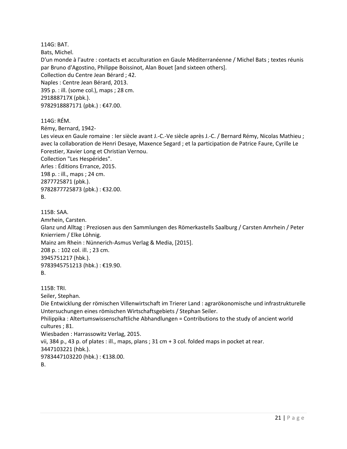114G: BAT. Bats, Michel. D'un monde à l'autre : contacts et acculturation en Gaule Mèditerranéenne / Michel Bats ; textes réunis par Bruno d'Agostino, Philippe Boissinot, Alan Bouet [and sixteen others]. Collection du Centre Jean Bérard ; 42. Naples : Centre Jean Bérard, 2013. 395 p. : ill. (some col.), maps ; 28 cm. 291888717X (pbk.). 9782918887171 (pbk.) : €47.00. 114G: RÉM. Rémy, Bernard, 1942- Les vieux en Gaule romaine : Ier siècle avant J.-C.-Ve siècle après J.-C. / Bernard Rémy, Nicolas Mathieu ; avec la collaboration de Henri Desaye, Maxence Segard ; et la participation de Patrice Faure, Cyrille Le Forestier, Xavier Long et Christian Vernou. Collection "Les Hespérides". Arles : Éditions Errance, 2015. 198 p. : ill., maps ; 24 cm. 2877725871 (pbk.). 9782877725873 (pbk.) : €32.00.

```
B.
```
115B: SAA. Amrhein, Carsten. Glanz und Alltag : Preziosen aus den Sammlungen des Römerkastells Saalburg / Carsten Amrhein / Peter Knierriem / Elke Löhnig. Mainz am Rhein : Nünnerich-Asmus Verlag & Media, [2015]. 208 p. : 102 col. ill. ; 23 cm. 3945751217 (hbk.). 9783945751213 (hbk.) : €19.90. B.

115B: TRI. Seiler, Stephan. Die Entwicklung der römischen Villenwirtschaft im Trierer Land : agrarökonomische und infrastrukturelle Untersuchungen eines römischen Wirtschaftsgebiets / Stephan Seiler. Philippika : Altertumswissenschaftliche Abhandlungen = Contributions to the study of ancient world cultures ; 81. Wiesbaden : Harrassowitz Verlag, 2015. vii, 384 p., 43 p. of plates : ill., maps, plans ; 31 cm + 3 col. folded maps in pocket at rear. 3447103221 (hbk.). 9783447103220 (hbk.) : €138.00. B.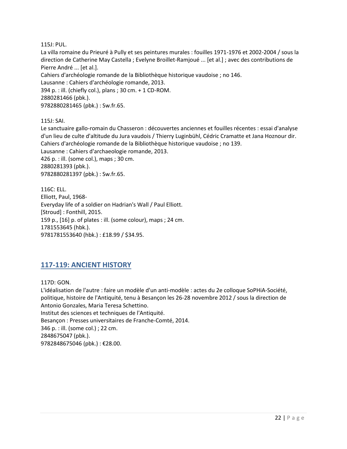115J: PUL.

La villa romaine du Prieuré à Pully et ses peintures murales : fouilles 1971-1976 et 2002-2004 / sous la direction de Catherine May Castella ; Evelyne Broillet-Ramjoué ... [et al.] ; avec des contributions de Pierre André ... [et al.]. Cahiers d'archéologie romande de la Bibliothèque historique vaudoise ; no 146. Lausanne : Cahiers d'archéologie romande, 2013. 394 p. : ill. (chiefly col.), plans ; 30 cm. + 1 CD-ROM. 2880281466 (pbk.). 9782880281465 (pbk.) : Sw.fr.65.

115J: SAI.

Le sanctuaire gallo-romain du Chasseron : découvertes anciennes et fouilles récentes : essai d'analyse d'un lieu de culte d'altitude du Jura vaudois / Thierry Luginbühl, Cédric Cramatte et Jana Hoznour dir. Cahiers d'archéologie romande de la Bibliothèque historique vaudoise ; no 139. Lausanne : Cahiers d'archaeologie romande, 2013. 426 p. : ill. (some col.), maps ; 30 cm. 2880281393 (pbk.). 9782880281397 (pbk.) : Sw.fr.65.

116C: ELL. Elliott, Paul, 1968- Everyday life of a soldier on Hadrian's Wall / Paul Elliott. [Stroud] : Fonthill, 2015. 159 p., [16] p. of plates : ill. (some colour), maps ; 24 cm. 1781553645 (hbk.). 9781781553640 (hbk.) : £18.99 / \$34.95.

## <span id="page-21-0"></span>**117-119: ANCIENT HISTORY**

117D: GON.

L'idéalisation de l'autre : faire un modèle d'un anti-modèle : actes du 2e colloque SoPHiA-Société, politique, histoire de l'Antiquité, tenu à Besançon les 26-28 novembre 2012 / sous la direction de Antonio Gonzales, Maria Teresa Schettino. Institut des sciences et techniques de l'Antiquité. Besançon : Presses universitaires de Franche-Comté, 2014. 346 p. : ill. (some col.) ; 22 cm. 2848675047 (pbk.). 9782848675046 (pbk.) : €28.00.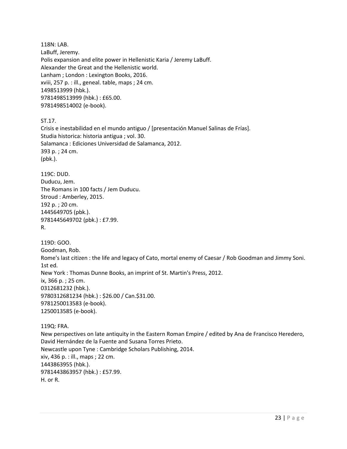118N: LAB. LaBuff, Jeremy. Polis expansion and elite power in Hellenistic Karia / Jeremy LaBuff. Alexander the Great and the Hellenistic world. Lanham ; London : Lexington Books, 2016. xviii, 257 p. : ill., geneal. table, maps ; 24 cm. 1498513999 (hbk.). 9781498513999 (hbk.) : £65.00. 9781498514002 (e-book).

ST.17.

Crisis e inestabilidad en el mundo antiguo / [presentación Manuel Salinas de Frías]. Studia historica: historia antigua ; vol. 30. Salamanca : Ediciones Universidad de Salamanca, 2012. 393 p. ; 24 cm. (pbk.).

119C: DUD.

Duducu, Jem. The Romans in 100 facts / Jem Duducu. Stroud : Amberley, 2015. 192 p. ; 20 cm. 1445649705 (pbk.). 9781445649702 (pbk.) : £7.99. R.

119D: GOO. Goodman, Rob. Rome's last citizen : the life and legacy of Cato, mortal enemy of Caesar / Rob Goodman and Jimmy Soni. 1st ed. New York : Thomas Dunne Books, an imprint of St. Martin's Press, 2012. ix, 366 p. ; 25 cm. 0312681232 (hbk.). 9780312681234 (hbk.) : \$26.00 / Can.\$31.00. 9781250013583 (e-book). 1250013585 (e-book).

119Q: FRA.

New perspectives on late antiquity in the Eastern Roman Empire / edited by Ana de Francisco Heredero, David Hernández de la Fuente and Susana Torres Prieto. Newcastle upon Tyne : Cambridge Scholars Publishing, 2014. xiv, 436 p. : ill., maps ; 22 cm. 1443863955 (hbk.). 9781443863957 (hbk.) : £57.99. H. or R.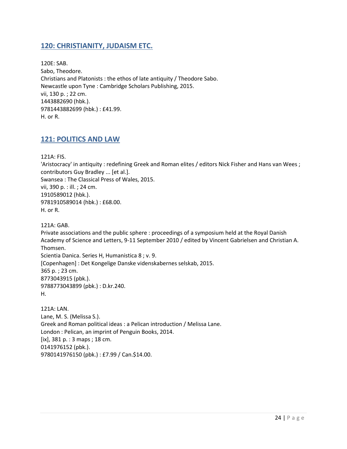#### <span id="page-23-0"></span>**120: CHRISTIANITY, JUDAISM ETC.**

120E: SAB. Sabo, Theodore. Christians and Platonists : the ethos of late antiquity / Theodore Sabo. Newcastle upon Tyne : Cambridge Scholars Publishing, 2015. vii, 130 p. ; 22 cm. 1443882690 (hbk.). 9781443882699 (hbk.) : £41.99. H. or R.

#### <span id="page-23-1"></span>**121: POLITICS AND LAW**

121A: FIS.

'Aristocracy' in antiquity : redefining Greek and Roman elites / editors Nick Fisher and Hans van Wees ; contributors Guy Bradley ... [et al.]. Swansea : The Classical Press of Wales, 2015. vii, 390 p. : ill. ; 24 cm. 1910589012 (hbk.). 9781910589014 (hbk.) : £68.00. H. or R.

121A: GAB. Private associations and the public sphere : proceedings of a symposium held at the Royal Danish Academy of Science and Letters, 9-11 September 2010 / edited by Vincent Gabrielsen and Christian A. Thomsen. Scientia Danica. Series H, Humanistica 8 ; v. 9. [Copenhagen] : Det Kongelige Danske videnskabernes selskab, 2015. 365 p. ; 23 cm. 8773043915 (pbk.). 9788773043899 (pbk.) : D.kr.240. H.

121A: LAN. Lane, M. S. (Melissa S.). Greek and Roman political ideas : a Pelican introduction / Melissa Lane. London : Pelican, an imprint of Penguin Books, 2014. [ix], 381 p. : 3 maps ; 18 cm. 0141976152 (pbk.). 9780141976150 (pbk.) : £7.99 / Can.\$14.00.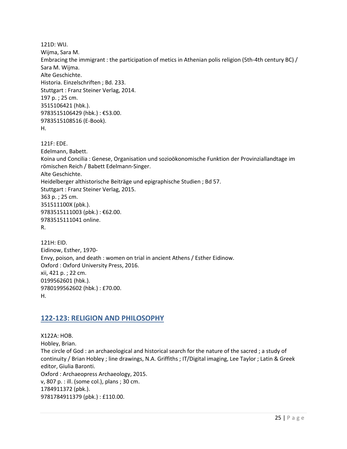121D: WIJ. Wijma, Sara M. Embracing the immigrant : the participation of metics in Athenian polis religion (5th-4th century BC) / Sara M. Wijma. Alte Geschichte. Historia. Einzelschriften ; Bd. 233. Stuttgart : Franz Steiner Verlag, 2014. 197 p. ; 25 cm. 3515106421 (hbk.). 9783515106429 (hbk.) : €53.00. 9783515108516 (E-Book). H. 121F: EDE. Edelmann, Babett. Koina und Concilia : Genese, Organisation und sozioökonomische Funktion der Provinziallandtage im römischen Reich / Babett Edelmann-Singer. Alte Geschichte. Heidelberger althistorische Beiträge und epigraphische Studien ; Bd 57. Stuttgart : Franz Steiner Verlag, 2015. 363 p. ; 25 cm. 351511100X (pbk.). 9783515111003 (pbk.) : €62.00. 9783515111041 online. R. 121H: EID.

Eidinow, Esther, 1970- Envy, poison, and death : women on trial in ancient Athens / Esther Eidinow. Oxford : Oxford University Press, 2016. xii, 421 p. ; 22 cm. 0199562601 (hbk.). 9780199562602 (hbk.) : £70.00. H.

#### <span id="page-24-0"></span>**122-123: RELIGION AND PHILOSOPHY**

X122A: HOB. Hobley, Brian. The circle of God : an archaeological and historical search for the nature of the sacred ; a study of continuity / Brian Hobley ; line drawings, N.A. Griffiths ; IT/Digital imaging, Lee Taylor ; Latin & Greek editor, Giulia Baronti. Oxford : Archaeopress Archaeology, 2015. v, 807 p. : ill. (some col.), plans ; 30 cm. 1784911372 (pbk.). 9781784911379 (pbk.) : £110.00.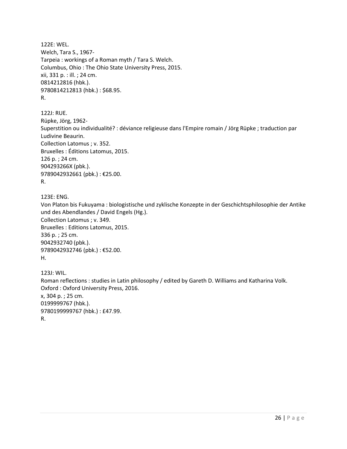122E: WEL. Welch, Tara S., 1967- Tarpeia : workings of a Roman myth / Tara S. Welch. Columbus, Ohio : The Ohio State University Press, 2015. xii, 331 p. : ill. ; 24 cm. 0814212816 (hbk.). 9780814212813 (hbk.) : \$68.95. R.

122J: RUE. Rüpke, Jörg, 1962- Superstition ou individualité? : déviance religieuse dans l'Empire romain / Jörg Rüpke ; traduction par Ludivine Beaurin. Collection Latomus ; v. 352. Bruxelles : Éditions Latomus, 2015. 126 p. ; 24 cm. 904293266X (pbk.). 9789042932661 (pbk.) : €25.00. R.

123E: ENG.

Von Platon bis Fukuyama : biologistische und zyklische Konzepte in der Geschichtsphilosophie der Antike und des Abendlandes / David Engels (Hg.). Collection Latomus ; v. 349. Bruxelles : Editions Latomus, 2015. 336 p. ; 25 cm. 9042932740 (pbk.). 9789042932746 (pbk.) : €52.00. H.

123J: WIL. Roman reflections : studies in Latin philosophy / edited by Gareth D. Williams and Katharina Volk. Oxford : Oxford University Press, 2016. x, 304 p. ; 25 cm. 0199999767 (hbk.). 9780199999767 (hbk.) : £47.99. R.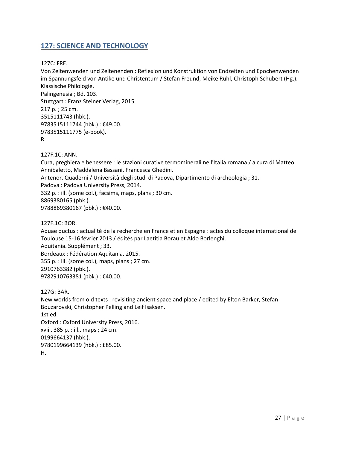## <span id="page-26-0"></span>**127: SCIENCE AND TECHNOLOGY**

127C: FRE.

Von Zeitenwenden und Zeitenenden : Reflexion und Konstruktion von Endzeiten und Epochenwenden im Spannungsfeld von Antike und Christentum / Stefan Freund, Meike Rühl, Christoph Schubert (Hg.). Klassische Philologie. Palingenesia ; Bd. 103. Stuttgart : Franz Steiner Verlag, 2015. 217 p. ; 25 cm. 3515111743 (hbk.). 9783515111744 (hbk.) : €49.00. 9783515111775 (e-book). R.

127F.1C: ANN.

Cura, preghiera e benessere : le stazioni curative termominerali nell'Italia romana / a cura di Matteo Annibaletto, Maddalena Bassani, Francesca Ghedini. Antenor. Quaderni / Università degli studi di Padova, Dipartimento di archeologia ; 31. Padova : Padova University Press, 2014. 332 p. : ill. (some col.), facsims, maps, plans ; 30 cm. 8869380165 (pbk.). 9788869380167 (pbk.) : €40.00.

127F.1C: BOR.

Aquae ductus : actualité de la recherche en France et en Espagne : actes du colloque international de Toulouse 15-16 février 2013 / édités par Laetitia Borau et Aldo Borlenghi. Aquitania. Supplément ; 33. Bordeaux : Fédération Aquitania, 2015. 355 p. : ill. (some col.), maps, plans ; 27 cm. 2910763382 (pbk.). 9782910763381 (pbk.) : €40.00.

127G: BAR.

New worlds from old texts : revisiting ancient space and place / edited by Elton Barker, Stefan Bouzarovski, Christopher Pelling and Leif Isaksen. 1st ed. Oxford : Oxford University Press, 2016. xviii, 385 p. : ill., maps ; 24 cm. 0199664137 (hbk.). 9780199664139 (hbk.) : £85.00. H.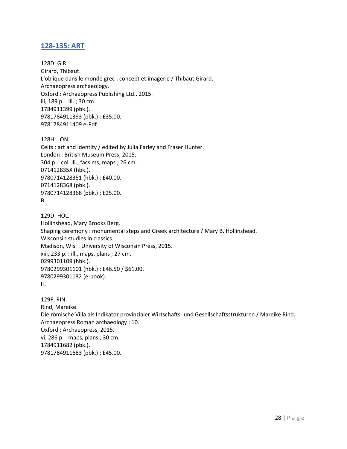#### <span id="page-27-0"></span>**128-135: ART**

128D: GIR. Girard, Thibaut. L'oblique dans le monde grec : concept et imagerie / Thibaut Girard. Archaeopress archaeology. Oxford : Archaeopress Publishing Ltd., 2015. iii, 189 p. : ill. ; 30 cm. 1784911399 (pbk.). 9781784911393 (pbk.) : £35.00. 9781784911409 e-Pdf.

128H: LON. Celts : art and identity / edited by Julia Farley and Fraser Hunter. London : British Museum Press, 2015. 304 p. : col. ill., facsims, maps ; 26 cm. 071412835X (hbk.). 9780714128351 (hbk.) : £40.00. 0714128368 (pbk.). 9780714128368 (pbk.) : £25.00. B.

129D: HOL. Hollinshead, Mary Brooks Berg. Shaping ceremony : monumental steps and Greek architecture / Mary B. Hollinshead. Wisconsin studies in classics. Madison, Wis. : University of Wisconsin Press, 2015. xiii, 233 p. : ill., maps, plans ; 27 cm. 0299301109 (hbk.). 9780299301101 (hbk.) : £46.50 / \$61.00. 9780299301132 (e-book). H.

129F: RIN. Rind, Mareike. Die römische Villa als Indikator provinzialer Wirtschafts- und Gesellschaftsstrukturen / Mareike Rind. Archaeopress Roman archaeology ; 10. Oxford : Archaeopress, 2015. vi, 286 p. : maps, plans ; 30 cm. 1784911682 (pbk.). 9781784911683 (pbk.) : £45.00.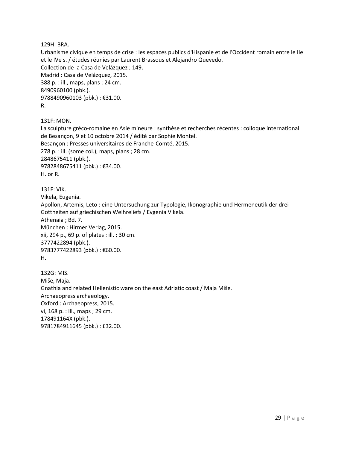129H: BRA.

Urbanisme civique en temps de crise : les espaces publics d'Hispanie et de l'Occident romain entre le IIe et le IVe s. / études réunies par Laurent Brassous et Alejandro Quevedo. Collection de la Casa de Velázquez ; 149. Madrid : Casa de Velázquez, 2015. 388 p. : ill., maps, plans ; 24 cm. 8490960100 (pbk.). 9788490960103 (pbk.) : €31.00. R.

131F: MON.

La sculpture gréco-romaine en Asie mineure : synthèse et recherches récentes : colloque international de Besançon, 9 et 10 octobre 2014 / édité par Sophie Montel. Besançon : Presses universitaires de Franche-Comté, 2015. 278 p. : ill. (some col.), maps, plans ; 28 cm. 2848675411 (pbk.). 9782848675411 (pbk.) : €34.00. H. or R.

131F: VIK. Vikela, Eugenia. Apollon, Artemis, Leto : eine Untersuchung zur Typologie, Ikonographie und Hermeneutik der drei Gottheiten auf griechischen Weihreliefs / Evgenia Vikela. Athenaia ; Bd. 7. München : Hirmer Verlag, 2015. xii, 294 p., 69 p. of plates : ill. ; 30 cm. 3777422894 (pbk.). 9783777422893 (pbk.) : €60.00. H.

132G: MIS. Miše, Maja. Gnathia and related Hellenistic ware on the east Adriatic coast / Maja Miše. Archaeopress archaeology. Oxford : Archaeopress, 2015. vi, 168 p. : ill., maps ; 29 cm. 178491164X (pbk.). 9781784911645 (pbk.) : £32.00.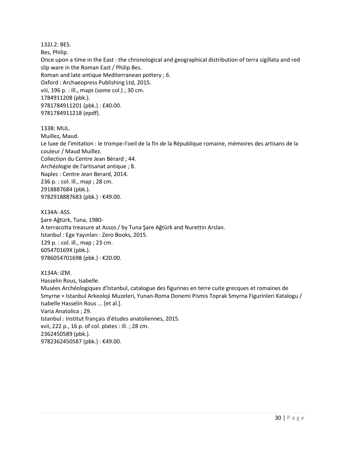132J.2: BES. Bes, Philip. Once upon a time in the East : the chronological and geographical distribution of terra sigillata and red slip ware in the Roman East / Philip Bes. Roman and late antique Mediterranean pottery ; 6. Oxford : Archaeopress Publishing Ltd, 2015. viii, 196 p. : ill., maps (some col.) ; 30 cm. 1784911208 (pbk.). 9781784911201 (pbk.) : £40.00. 9781784911218 (epdf).

133B: MUL.

Muillez, Maud.

Le luxe de l'imitation : le trompe-l'oeil de la fin de la République romaine, mémoires des artisans de la couleur / Maud Muillez.

Collection du Centre Jean Bérard ; 44. Archéologie de l'artisanat antique ; 8. Naples : Centre Jean Berard, 2014. 236 p. : col. ill., map ; 28 cm. 2918887684 (pbk.). 9782918887683 (pbk.): €49.00.

X134A: ASS. Şare Ağtürk, Tuna, 1980- A terracotta treasure at Assos / by Tuna Şare Ağtürk and Nurettin Arslan. Istanbul : Ege Yayınları : Zero Books, 2015. 129 p. : col. ill., map ; 23 cm. 605470169X (pbk.). 9786054701698 (pbk.) : €20.00.

X134A: IZM. Hasselin Rous, Isabelle. Musées Archéologiques d'Istanbul, catalogue des figurines en terre cuite grecques et romaines de Smyrne = Istanbul Arkeoloji Muzeleri, Yunan-Roma Donemi Pismis Toprak Smyrna Figurinleri Katalogu / Isabelle Hasselin Rous ... [et al.]. Varia Anatolica ; 29. Istanbul : Institut français d'études anatoliennes, 2015. xvii, 222 p., 16 p. of col. plates : ill. ; 28 cm. 2362450589 (pbk.). 9782362450587 (pbk.) : €49.00.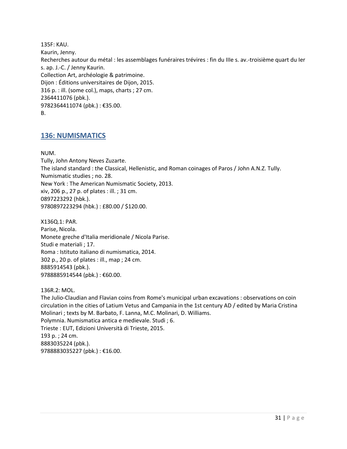135F: KAU. Kaurin, Jenny. Recherches autour du métal : les assemblages funéraires trévires : fin du IIIe s. av.-troisième quart du Ier s. ap. J.-C. / Jenny Kaurin. Collection Art, archéologie & patrimoine. Dijon : Éditions universitaires de Dijon, 2015. 316 p. : ill. (some col.), maps, charts ; 27 cm. 2364411076 (pbk.). 9782364411074 (pbk.) : €35.00. B.

#### <span id="page-30-0"></span>**136: NUMISMATICS**

NUM.

Tully, John Antony Neves Zuzarte. The island standard : the Classical, Hellenistic, and Roman coinages of Paros / John A.N.Z. Tully. Numismatic studies ; no. 28. New York : The American Numismatic Society, 2013. xiv, 206 p., 27 p. of plates : ill. ; 31 cm. 0897223292 (hbk.). 9780897223294 (hbk.) : £80.00 / \$120.00.

X136Q.1: PAR. Parise, Nicola. Monete greche d'Italia meridionale / Nicola Parise. Studi e materiali ; 17. Roma : Istituto italiano di numismatica, 2014. 302 p., 20 p. of plates : ill., map ; 24 cm. 8885914543 (pbk.). 9788885914544 (pbk.): €60.00.

136R.2: MOL. The Julio-Claudian and Flavian coins from Rome's municipal urban excavations : observations on coin circulation in the cities of Latium Vetus and Campania in the 1st century AD / edited by Maria Cristina Molinari ; texts by M. Barbato, F. Lanna, M.C. Molinari, D. Williams. Polymnia. Numismatica antica e medievale. Studi ; 6. Trieste : EUT, Edizioni Università di Trieste, 2015. 193 p. ; 24 cm. 8883035224 (pbk.). 9788883035227 (pbk.) : €16.00.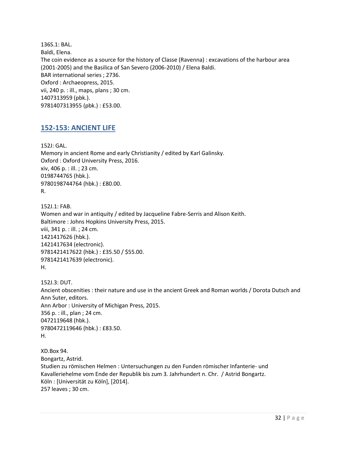136S.1: BAL. Baldi, Elena. The coin evidence as a source for the history of Classe (Ravenna) : excavations of the harbour area (2001-2005) and the Basilica of San Severo (2006-2010) / Elena Baldi. BAR international series ; 2736. Oxford : Archaeopress, 2015. vii, 240 p. : ill., maps, plans ; 30 cm. 1407313959 (pbk.). 9781407313955 (pbk.) : £53.00.

#### <span id="page-31-0"></span>**152-153: ANCIENT LIFE**

152J: GAL. Memory in ancient Rome and early Christianity / edited by Karl Galinsky. Oxford : Oxford University Press, 2016. xiv, 406 p. : ill. ; 23 cm. 0198744765 (hbk.). 9780198744764 (hbk.) : £80.00. R.

152J.1: FAB. Women and war in antiquity / edited by Jacqueline Fabre-Serris and Alison Keith. Baltimore : Johns Hopkins University Press, 2015. viii, 341 p. : ill. ; 24 cm. 1421417626 (hbk.). 1421417634 (electronic). 9781421417622 (hbk.) : £35.50 / \$55.00. 9781421417639 (electronic). H.

152J.3: DUT. Ancient obscenities : their nature and use in the ancient Greek and Roman worlds / Dorota Dutsch and Ann Suter, editors. Ann Arbor : University of Michigan Press, 2015. 356 p. : ill., plan ; 24 cm. 0472119648 (hbk.). 9780472119646 (hbk.) : £83.50. H.

XD.Box 94. Bongartz, Astrid. Studien zu römischen Helmen : Untersuchungen zu den Funden römischer Infanterie- und Kavalleriehelme vom Ende der Republik bis zum 3. Jahrhundert n. Chr. / Astrid Bongartz. Köln : [Universität zu Köln], [2014]. 257 leaves ; 30 cm.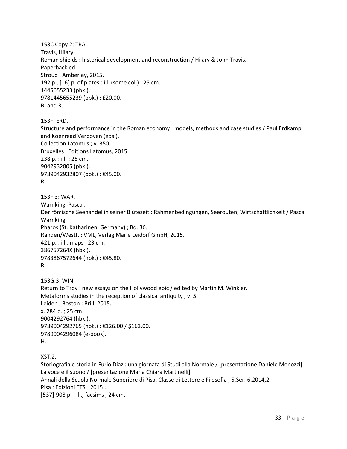153C Copy 2: TRA. Travis, Hilary. Roman shields : historical development and reconstruction / Hilary & John Travis. Paperback ed. Stroud : Amberley, 2015. 192 p., [16] p. of plates : ill. (some col.) ; 25 cm. 1445655233 (pbk.). 9781445655239 (pbk.) : £20.00. B. and R.

153F: ERD.

Structure and performance in the Roman economy : models, methods and case studies / Paul Erdkamp and Koenraad Verboven (eds.). Collection Latomus ; v. 350. Bruxelles : Editions Latomus, 2015. 238 p. : ill. ; 25 cm. 9042932805 (pbk.). 9789042932807 (pbk.) : €45.00. R.

153F.3: WAR. Warnking, Pascal. Der römische Seehandel in seiner Blütezeit : Rahmenbedingungen, Seerouten, Wirtschaftlichkeit / Pascal Warnking. Pharos (St. Katharinen, Germany) ; Bd. 36. Rahden/Westf. : VML, Verlag Marie Leidorf GmbH, 2015. 421 p. : ill., maps ; 23 cm. 386757264X (hbk.). 9783867572644 (hbk.) : €45.80. R.

153G.3: WIN. Return to Troy : new essays on the Hollywood epic / edited by Martin M. Winkler. Metaforms studies in the reception of classical antiquity ; v. 5. Leiden ; Boston : Brill, 2015. x, 284 p. ; 25 cm. 9004292764 (hbk.). 9789004292765 (hbk.) : €126.00 / \$163.00. 9789004296084 (e-book). H.

XST.2.

Storiografia e storia in Furio Diaz : una giornata di Studi alla Normale / [presentazione Daniele Menozzi]. La voce e il suono / [presentazione Maria Chiara Martinelli]. Annali della Scuola Normale Superiore di Pisa, Classe di Lettere e Filosofia ; 5.Ser. 6.2014,2. Pisa : Edizioni ETS, [2015]. [537]-908 p. : ill., facsims ; 24 cm.